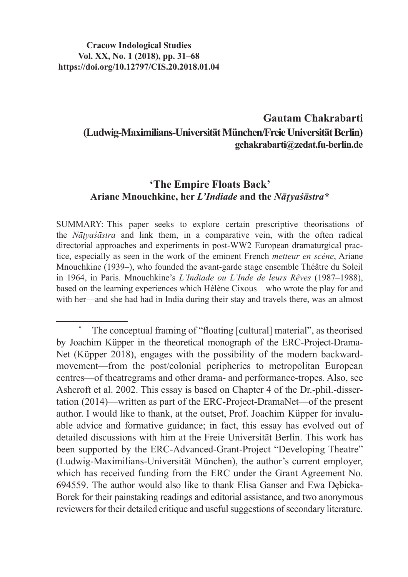#### **Cracow Indological Studies Vol. XX, No. 1 (2018), pp. 31–68 https://doi.org/10.12797/CIS.20.2018.01.04**

# **Gautam Chakrabarti (Ludwig-Maximilians-Universität München/Freie Universität Berlin) gchakrabarti@zedat.fu-berlin.de**

### **'The Empire Floats Back' Ariane Mnouchkine, her** *L'Indiade* **and the** *Nāṭyaśāstra\**

SUMMARY: This paper seeks to explore certain prescriptive theorisations of the *Nāṭyaśāstra* and link them, in a comparative vein, with the often radical directorial approaches and experiments in post-WW2 European dramaturgical practice, especially as seen in the work of the eminent French *metteur en scène*, Ariane Mnouchkine (1939–), who founded the avant-garde stage ensemble Théâtre du Soleil in 1964, in Paris. Mnouchkine's *L'Indiade ou L'Inde de leurs Rêves* (1987–1988), based on the learning experiences which Hélène Cixous—who wrote the play for and with her—and she had had in India during their stay and travels there, was an almost

<sup>\*</sup> The conceptual framing of "floating [cultural] material", as theorised by Joachim Küpper in the theoretical monograph of the ERC-Project-Drama-Net (Küpper 2018), engages with the possibility of the modern backwardmovement—from the post/colonial peripheries to metropolitan European centres—of theatregrams and other drama- and performance-tropes. Also, see Ashcroft et al. 2002. This essay is based on Chapter 4 of the Dr.-phil.-dissertation (2014)—written as part of the ERC-Project-DramaNet—of the present author. I would like to thank, at the outset, Prof. Joachim Küpper for invaluable advice and formative guidance; in fact, this essay has evolved out of detailed discussions with him at the Freie Universität Berlin. This work has been supported by the ERC-Advanced-Grant-Project "Developing Theatre" (Ludwig-Maximilians-Universität München), the author's current employer, which has received funding from the ERC under the Grant Agreement No. 694559. The author would also like to thank Elisa Ganser and Ewa Dębicka-Borek for their painstaking readings and editorial assistance, and two anonymous reviewers for their detailed critique and useful suggestions of secondary literature.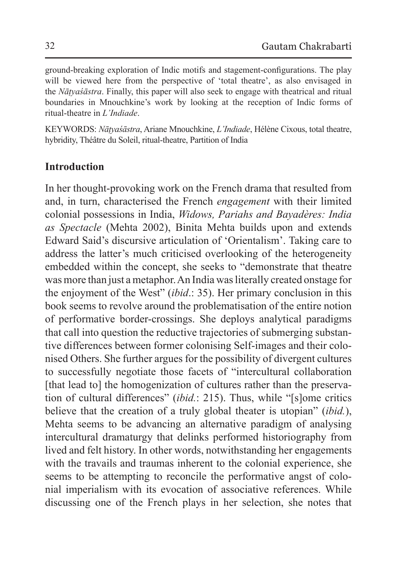ground-breaking exploration of Indic motifs and stagement-configurations. The play will be viewed here from the perspective of 'total theatre', as also envisaged in the *Nāṭyaśāstra*. Finally, this paper will also seek to engage with theatrical and ritual boundaries in Mnouchkine's work by looking at the reception of Indic forms of ritual-theatre in *L'Indiade*.

KEYWORDS: *Nāṭyaśāstra*, Ariane Mnouchkine, *L'Indiade*, Hélène Cixous, total theatre, hybridity, Théâtre du Soleil, ritual-theatre, Partition of India

## **Introduction**

In her thought-provoking work on the French drama that resulted from and, in turn, characterised the French *engagement* with their limited colonial possessions in India, *Widows, Pariahs and Bayadères: India as Spectacle* (Mehta 2002), Binita Mehta builds upon and extends Edward Said's discursive articulation of 'Orientalism'. Taking care to address the latter's much criticised overlooking of the heterogeneity embedded within the concept, she seeks to "demonstrate that theatre was more than just a metaphor. An India was literally created onstage for the enjoyment of the West" (*ibid*.: 35). Her primary conclusion in this book seems to revolve around the problematisation of the entire notion of performative border-crossings. She deploys analytical paradigms that call into question the reductive trajectories of submerging substantive differences between former colonising Self-images and their colonised Others. She further argues for the possibility of divergent cultures to successfully negotiate those facets of "intercultural collaboration [that lead to] the homogenization of cultures rather than the preservation of cultural differences" (*ibid.*: 215). Thus, while "[s]ome critics believe that the creation of a truly global theater is utopian" (*ibid.*), Mehta seems to be advancing an alternative paradigm of analysing intercultural dramaturgy that delinks performed historiography from lived and felt history. In other words, notwithstanding her engagements with the travails and traumas inherent to the colonial experience, she seems to be attempting to reconcile the performative angst of colonial imperialism with its evocation of associative references. While discussing one of the French plays in her selection, she notes that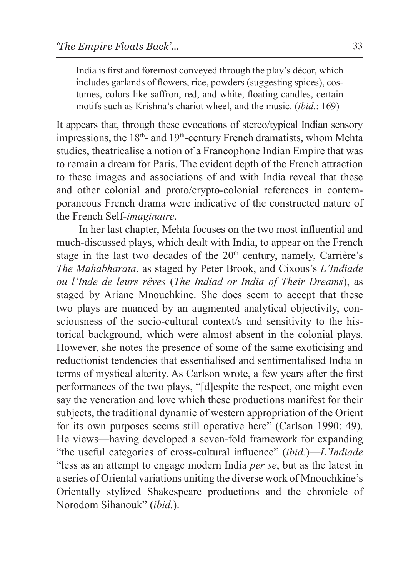India is first and foremost conveyed through the play's décor, which includes garlands of flowers, rice, powders (suggesting spices), costumes, colors like saffron, red, and white, floating candles, certain motifs such as Krishna's chariot wheel, and the music. (*ibid.*: 169)

It appears that, through these evocations of stereo/typical Indian sensory impressions, the 18<sup>th</sup>- and 19<sup>th</sup>-century French dramatists, whom Mehta studies, theatricalise a notion of a Francophone Indian Empire that was to remain a dream for Paris. The evident depth of the French attraction to these images and associations of and with India reveal that these and other colonial and proto/crypto-colonial references in contemporaneous French drama were indicative of the constructed nature of the French Self-*imaginaire*.

In her last chapter, Mehta focuses on the two most influential and much-discussed plays, which dealt with India, to appear on the French stage in the last two decades of the  $20<sup>th</sup>$  century, namely, Carrière's *The Mahabharata*, as staged by Peter Brook, and Cixous's *L'Indiade ou l'Inde de leurs rêves* (*The Indiad or India of Their Dreams*), as staged by Ariane Mnouchkine. She does seem to accept that these two plays are nuanced by an augmented analytical objectivity, consciousness of the socio-cultural context/s and sensitivity to the historical background, which were almost absent in the colonial plays. However, she notes the presence of some of the same exoticising and reductionist tendencies that essentialised and sentimentalised India in terms of mystical alterity. As Carlson wrote, a few years after the first performances of the two plays, "[d]espite the respect, one might even say the veneration and love which these productions manifest for their subjects, the traditional dynamic of western appropriation of the Orient for its own purposes seems still operative here" (Carlson 1990: 49). He views—having developed a seven-fold framework for expanding "the useful categories of cross-cultural influence" (*ibid.*)—*L'Indiade* "less as an attempt to engage modern India *per se*, but as the latest in a series of Oriental variations uniting the diverse work of Mnouchkine's Orientally stylized Shakespeare productions and the chronicle of Norodom Sihanouk" (*ibid.*).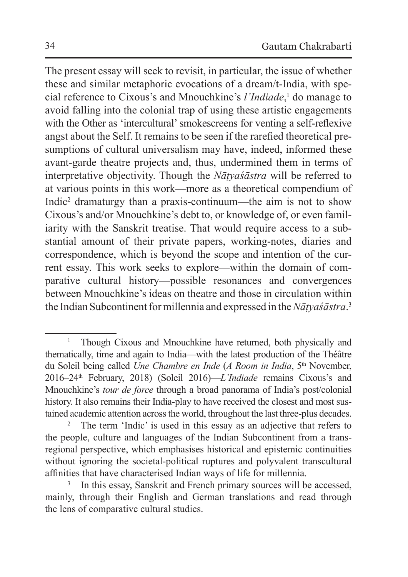The present essay will seek to revisit, in particular, the issue of whether these and similar metaphoric evocations of a dream/t-India, with special reference to Cixous's and Mnouchkine's *l'Indiade*, 1 do manage to avoid falling into the colonial trap of using these artistic engagements with the Other as 'intercultural' smokescreens for venting a self-reflexive angst about the Self. It remains to be seen if the rarefied theoretical presumptions of cultural universalism may have, indeed, informed these avant-garde theatre projects and, thus, undermined them in terms of interpretative objectivity. Though the *Nāṭyaśāstra* will be referred to at various points in this work—more as a theoretical compendium of Indic2 dramaturgy than a praxis-continuum—the aim is not to show Cixous's and/or Mnouchkine's debt to, or knowledge of, or even familiarity with the Sanskrit treatise. That would require access to a substantial amount of their private papers, working-notes, diaries and correspondence, which is beyond the scope and intention of the current essay. This work seeks to explore—within the domain of comparative cultural history—possible resonances and convergences between Mnouchkine's ideas on theatre and those in circulation within the Indian Subcontinent for millennia and expressed in the*Nāṭyaśāstra*. 3

<sup>1</sup> Though Cixous and Mnouchkine have returned, both physically and thematically, time and again to India—with the latest production of the Théâtre du Soleil being called *Une Chambre en Inde* (*A Room in India*, 5<sup>th</sup> November, 2016–24th February, 2018) (Soleil 2016)—*L'Indiade* remains Cixous's and Mnouchkine's *tour de force* through a broad panorama of India's post/colonial history. It also remains their India-play to have received the closest and most sustained academic attention across the world, throughout the last three-plus decades.

<sup>&</sup>lt;sup>2</sup> The term 'Indic' is used in this essay as an adjective that refers to the people, culture and languages of the Indian Subcontinent from a transregional perspective, which emphasises historical and epistemic continuities without ignoring the societal-political ruptures and polyvalent transcultural affinities that have characterised Indian ways of life for millennia.

In this essay, Sanskrit and French primary sources will be accessed, mainly, through their English and German translations and read through the lens of comparative cultural studies.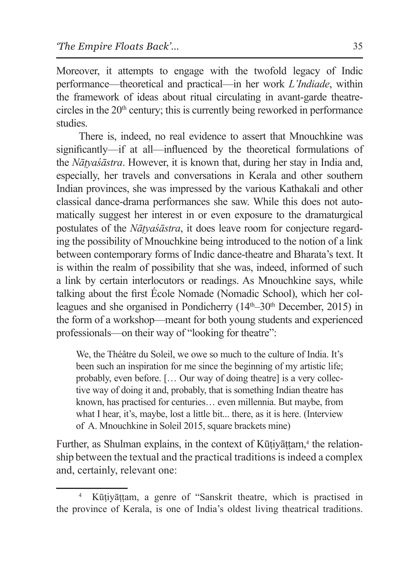Moreover, it attempts to engage with the twofold legacy of Indic performance—theoretical and practical—in her work *L'Indiade*, within the framework of ideas about ritual circulating in avant-garde theatrecircles in the  $20<sup>th</sup>$  century; this is currently being reworked in performance studies.

There is, indeed, no real evidence to assert that Mnouchkine was significantly—if at all—influenced by the theoretical formulations of the *Nāṭyaśāstra*. However, it is known that, during her stay in India and, especially, her travels and conversations in Kerala and other southern Indian provinces, she was impressed by the various Kathakali and other classical dance-drama performances she saw. While this does not automatically suggest her interest in or even exposure to the dramaturgical postulates of the *Nāṭyaśāstra*, it does leave room for conjecture regarding the possibility of Mnouchkine being introduced to the notion of a link between contemporary forms of Indic dance-theatre and Bharata's text. It is within the realm of possibility that she was, indeed, informed of such a link by certain interlocutors or readings. As Mnouchkine says, while talking about the first École Nomade (Nomadic School), which her colleagues and she organised in Pondicherry (14<sup>th–30th</sup> December, 2015) in the form of a workshop—meant for both young students and experienced professionals—on their way of "looking for theatre":

We, the Théâtre du Soleil, we owe so much to the culture of India. It's been such an inspiration for me since the beginning of my artistic life; probably, even before. [… Our way of doing theatre] is a very collective way of doing it and, probably, that is something Indian theatre has known, has practised for centuries… even millennia. But maybe, from what I hear, it's, maybe, lost a little bit... there, as it is here. (Interview of A. Mnouchkine in Soleil 2015, square brackets mine)

Further, as Shulman explains, in the context of Kūṭiyāṭṭam,<sup>4</sup> the relationship between the textual and the practical traditions is indeed a complex and, certainly, relevant one:

<sup>4</sup> Kūṭiyāṭṭam, a genre of "Sanskrit theatre, which is practised in the province of Kerala, is one of India's oldest living theatrical traditions.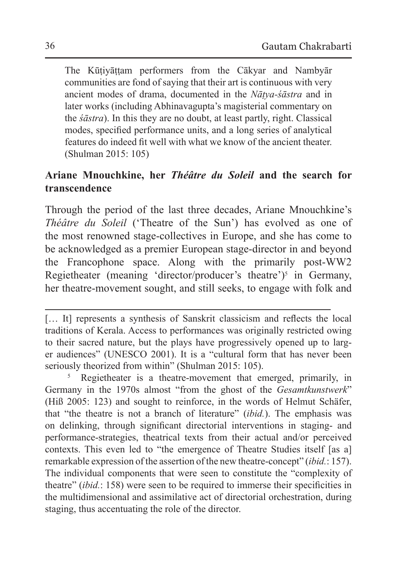The Kūṭiyāṭṭam performers from the Cākyar and Nambyār communities are fond of saying that their art is continuous with very ancient modes of drama, documented in the *Nāṭya-śāstra* and in later works (including Abhinavagupta's magisterial commentary on the *śāstra*). In this they are no doubt, at least partly, right. Classical modes, specified performance units, and a long series of analytical features do indeed fit well with what we know of the ancient theater. (Shulman 2015: 105)

## **Ariane Mnouchkine, her** *Théâtre du Soleil* **and the search for transcendence**

Through the period of the last three decades, Ariane Mnouchkine's *Théâtre du Soleil* ('Theatre of the Sun') has evolved as one of the most renowned stage-collectives in Europe, and she has come to be acknowledged as a premier European stage-director in and beyond the Francophone space. Along with the primarily post-WW2 Regietheater (meaning 'director/producer's theatre')<sup>5</sup> in Germany, her theatre-movement sought, and still seeks, to engage with folk and

Regietheater is a theatre-movement that emerged, primarily, in Germany in the 1970s almost "from the ghost of the *Gesamtkunstwerk*" (Hiß 2005: 123) and sought to reinforce, in the words of Helmut Schäfer, that "the theatre is not a branch of literature" (*ibid.*). The emphasis was on delinking, through significant directorial interventions in staging- and performance-strategies, theatrical texts from their actual and/or perceived contexts. This even led to "the emergence of Theatre Studies itself [as a] remarkable expression of the assertion of the new theatre-concept" (*ibid.*: 157). The individual components that were seen to constitute the "complexity of theatre" (*ibid.*: 158) were seen to be required to immerse their specificities in the multidimensional and assimilative act of directorial orchestration, during staging, thus accentuating the role of the director.

<sup>[...</sup> It] represents a synthesis of Sanskrit classicism and reflects the local traditions of Kerala. Access to performances was originally restricted owing to their sacred nature, but the plays have progressively opened up to larger audiences" (UNESCO 2001). It is a "cultural form that has never been seriously theorized from within" (Shulman 2015: 105).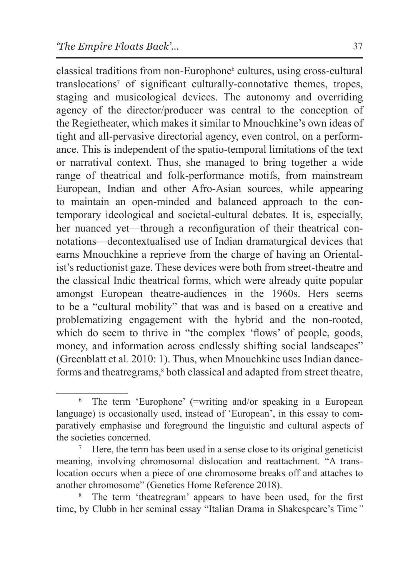classical traditions from non-Europhone<sup>6</sup> cultures, using cross-cultural translocations7 of significant culturally-connotative themes, tropes, staging and musicological devices. The autonomy and overriding agency of the director/producer was central to the conception of the Regietheater, which makes it similar to Mnouchkine's own ideas of tight and all-pervasive directorial agency, even control, on a performance. This is independent of the spatio-temporal limitations of the text or narratival context. Thus, she managed to bring together a wide range of theatrical and folk-performance motifs, from mainstream European, Indian and other Afro-Asian sources, while appearing to maintain an open-minded and balanced approach to the contemporary ideological and societal-cultural debates. It is, especially, her nuanced yet—through a reconfiguration of their theatrical connotations—decontextualised use of Indian dramaturgical devices that earns Mnouchkine a reprieve from the charge of having an Orientalist's reductionist gaze. These devices were both from street-theatre and the classical Indic theatrical forms, which were already quite popular amongst European theatre-audiences in the 1960s. Hers seems to be a "cultural mobility" that was and is based on a creative and problematizing engagement with the hybrid and the non-rooted, which do seem to thrive in "the complex 'flows' of people, goods, money, and information across endlessly shifting social landscapes" (Greenblatt et al*.* 2010: 1). Thus, when Mnouchkine uses Indian dance-

forms and theatregrams,<sup>8</sup> both classical and adapted from street theatre,

The term 'Europhone' (=writing and/or speaking in a European language) is occasionally used, instead of 'European', in this essay to comparatively emphasise and foreground the linguistic and cultural aspects of the societies concerned.

<sup>7</sup> Here, the term has been used in a sense close to its original geneticist meaning, involving chromosomal dislocation and reattachment. "A translocation occurs when a piece of one chromosome breaks off and attaches to another chromosome" (Genetics Home Reference 2018).

The term 'theatregram' appears to have been used, for the first time, by Clubb in her seminal essay "Italian Drama in Shakespeare's Time*"*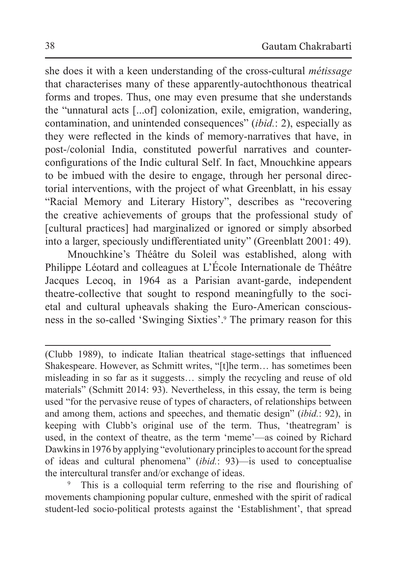she does it with a keen understanding of the cross-cultural *métissage* that characterises many of these apparently-autochthonous theatrical forms and tropes. Thus, one may even presume that she understands the "unnatural acts [...of] colonization, exile, emigration, wandering, contamination, and unintended consequences" (*ibid.*: 2), especially as they were reflected in the kinds of memory-narratives that have, in post-/colonial India, constituted powerful narratives and counterconfigurations of the Indic cultural Self. In fact, Mnouchkine appears to be imbued with the desire to engage, through her personal directorial interventions, with the project of what Greenblatt, in his essay "Racial Memory and Literary History", describes as "recovering the creative achievements of groups that the professional study of [cultural practices] had marginalized or ignored or simply absorbed into a larger, speciously undifferentiated unity" (Greenblatt 2001: 49).

Mnouchkine's Théâtre du Soleil was established, along with Philippe Léotard and colleagues at L'École Internationale de Théâtre Jacques Lecoq, in 1964 as a Parisian avant-garde, independent theatre-collective that sought to respond meaningfully to the societal and cultural upheavals shaking the Euro-American consciousness in the so-called 'Swinging Sixties'.<sup>9</sup> The primary reason for this

This is a colloquial term referring to the rise and flourishing of movements championing popular culture, enmeshed with the spirit of radical student-led socio-political protests against the 'Establishment', that spread

<sup>(</sup>Clubb 1989), to indicate Italian theatrical stage-settings that influenced Shakespeare. However, as Schmitt writes, "[t]he term… has sometimes been misleading in so far as it suggests… simply the recycling and reuse of old materials" (Schmitt 2014: 93). Nevertheless, in this essay, the term is being used "for the pervasive reuse of types of characters, of relationships between and among them, actions and speeches, and thematic design" (*ibid.*: 92), in keeping with Clubb's original use of the term. Thus, 'theatregram' is used, in the context of theatre, as the term 'meme'—as coined by Richard Dawkins in 1976 by applying "evolutionary principles to account for the spread of ideas and cultural phenomena" (*ibid.*: 93)—is used to conceptualise the intercultural transfer and/or exchange of ideas.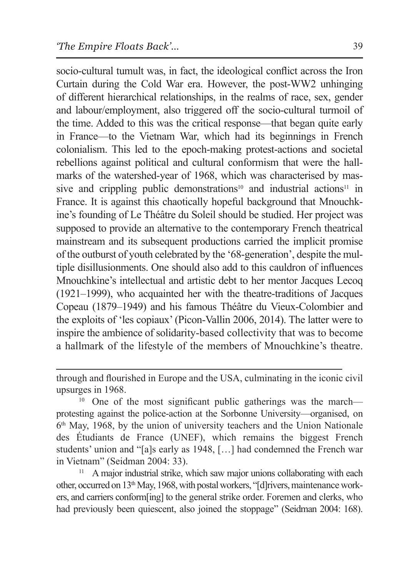socio-cultural tumult was, in fact, the ideological conflict across the Iron Curtain during the Cold War era. However, the post-WW2 unhinging of different hierarchical relationships, in the realms of race, sex, gender and labour/employment, also triggered off the socio-cultural turmoil of the time. Added to this was the critical response—that began quite early in France—to the Vietnam War, which had its beginnings in French colonialism. This led to the epoch-making protest-actions and societal rebellions against political and cultural conformism that were the hallmarks of the watershed-year of 1968, which was characterised by massive and crippling public demonstrations<sup>10</sup> and industrial actions<sup>11</sup> in France. It is against this chaotically hopeful background that Mnouchkine's founding of Le Théâtre du Soleil should be studied. Her project was supposed to provide an alternative to the contemporary French theatrical mainstream and its subsequent productions carried the implicit promise of the outburst of youth celebrated by the '68-generation', despite the multiple disillusionments. One should also add to this cauldron of influences Mnouchkine's intellectual and artistic debt to her mentor Jacques Lecoq (1921–1999), who acquainted her with the theatre-traditions of Jacques Copeau (1879–1949) and his famous Théâtre du Vieux-Colombier and the exploits of 'les copiaux' (Picon-Vallin 2006, 2014). The latter were to inspire the ambience of solidarity-based collectivity that was to become a hallmark of the lifestyle of the members of Mnouchkine's theatre.

through and flourished in Europe and the USA, culminating in the iconic civil

upsurges in 1968.<br><sup>10</sup> One of the most significant public gatherings was the march protesting against the police-action at the Sorbonne University—organised, on  $6<sup>th</sup>$  May, 1968, by the union of university teachers and the Union Nationale des Étudiants de France (UNEF), which remains the biggest French students' union and "[a]s early as 1948, […] had condemned the French war in Vietnam" (Seidman 2004: 33).

A major industrial strike, which saw major unions collaborating with each other, occurred on 13th May, 1968, with postal workers, "[d]rivers, maintenance workers, and carriers conform[ing] to the general strike order. Foremen and clerks, who had previously been quiescent, also joined the stoppage" (Seidman 2004: 168).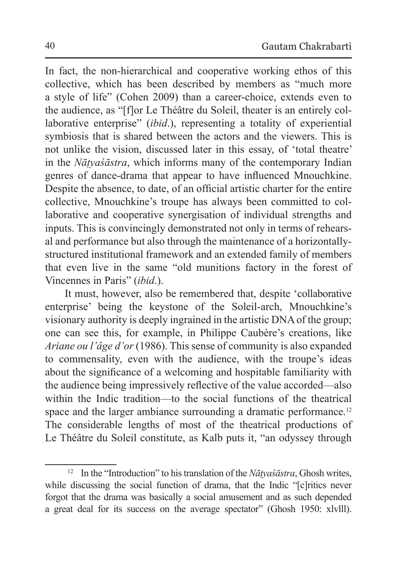In fact, the non-hierarchical and cooperative working ethos of this collective, which has been described by members as "much more a style of life" (Cohen 2009) than a career-choice, extends even to the audience, as "[f]or Le Théâtre du Soleil, theater is an entirely collaborative enterprise" (*ibid*.), representing a totality of experiential symbiosis that is shared between the actors and the viewers. This is not unlike the vision, discussed later in this essay, of 'total theatre' in the *Nāṭyaśāstra*, which informs many of the contemporary Indian genres of dance-drama that appear to have influenced Mnouchkine. Despite the absence, to date, of an official artistic charter for the entire collective, Mnouchkine's troupe has always been committed to collaborative and cooperative synergisation of individual strengths and inputs. This is convincingly demonstrated not only in terms of rehearsal and performance but also through the maintenance of a horizontallystructured institutional framework and an extended family of members that even live in the same "old munitions factory in the forest of Vincennes in Paris" (*ibid*.).

It must, however, also be remembered that, despite 'collaborative enterprise' being the keystone of the Soleil-arch, Mnouchkine's visionary authority is deeply ingrained in the artistic DNA of the group; one can see this, for example, in Philippe Caubère's creations, like *Ariane ou l'âge d'or* (1986). This sense of community is also expanded to commensality, even with the audience, with the troupe's ideas about the significance of a welcoming and hospitable familiarity with the audience being impressively reflective of the value accorded—also within the Indic tradition—to the social functions of the theatrical space and the larger ambiance surrounding a dramatic performance.<sup>12</sup> The considerable lengths of most of the theatrical productions of Le Théâtre du Soleil constitute, as Kalb puts it, "an odyssey through

<sup>&</sup>lt;sup>12</sup> In the "Introduction" to his translation of the *Nātyaśāstra*, Ghosh writes, while discussing the social function of drama, that the Indic "[c]ritics never forgot that the drama was basically a social amusement and as such depended a great deal for its success on the average spectator" (Ghosh 1950: xlvlll).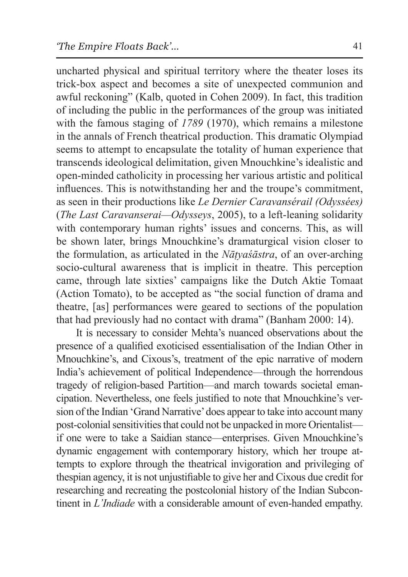uncharted physical and spiritual territory where the theater loses its trick-box aspect and becomes a site of unexpected communion and awful reckoning" (Kalb, quoted in Cohen 2009). In fact, this tradition of including the public in the performances of the group was initiated with the famous staging of *1789* (1970), which remains a milestone in the annals of French theatrical production. This dramatic Olympiad seems to attempt to encapsulate the totality of human experience that transcends ideological delimitation, given Mnouchkine's idealistic and open-minded catholicity in processing her various artistic and political influences. This is notwithstanding her and the troupe's commitment, as seen in their productions like *Le Dernier Caravansérail (Odyssées)* (*The Last Caravanserai—Odysseys*, 2005), to a left-leaning solidarity with contemporary human rights' issues and concerns. This, as will be shown later, brings Mnouchkine's dramaturgical vision closer to the formulation, as articulated in the *Nāṭyaśāstra*, of an over-arching socio-cultural awareness that is implicit in theatre. This perception came, through late sixties' campaigns like the Dutch Aktie Tomaat (Action Tomato), to be accepted as "the social function of drama and theatre, [as] performances were geared to sections of the population that had previously had no contact with drama" (Banham 2000: 14).

It is necessary to consider Mehta's nuanced observations about the presence of a qualified exoticised essentialisation of the Indian Other in Mnouchkine's, and Cixous's, treatment of the epic narrative of modern India's achievement of political Independence—through the horrendous tragedy of religion-based Partition—and march towards societal emancipation. Nevertheless, one feels justified to note that Mnouchkine's version of the Indian 'Grand Narrative' does appear to take into account many post-colonial sensitivities that could not be unpacked in more Orientalist if one were to take a Saidian stance—enterprises. Given Mnouchkine's dynamic engagement with contemporary history, which her troupe attempts to explore through the theatrical invigoration and privileging of thespian agency, it is not unjustifiable to give her and Cixous due credit for researching and recreating the postcolonial history of the Indian Subcontinent in *L'Indiade* with a considerable amount of even-handed empathy.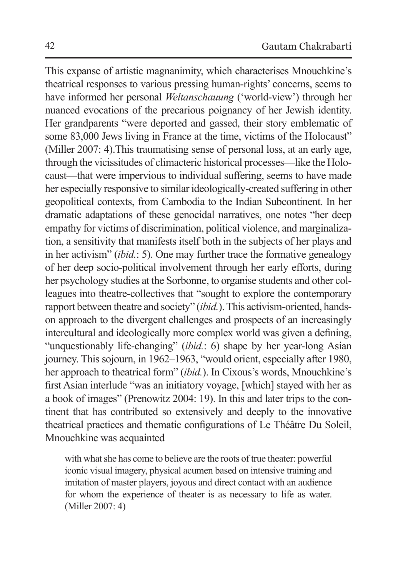This expanse of artistic magnanimity, which characterises Mnouchkine's theatrical responses to various pressing human-rights' concerns, seems to have informed her personal *Weltanschauung* ('world-view') through her nuanced evocations of the precarious poignancy of her Jewish identity. Her grandparents "were deported and gassed, their story emblematic of some 83,000 Jews living in France at the time, victims of the Holocaust" (Miller 2007: 4).This traumatising sense of personal loss, at an early age, through the vicissitudes of climacteric historical processes—like the Holocaust—that were impervious to individual suffering, seems to have made her especially responsive to similar ideologically-created suffering in other geopolitical contexts, from Cambodia to the Indian Subcontinent. In her dramatic adaptations of these genocidal narratives, one notes "her deep empathy for victims of discrimination, political violence, and marginalization, a sensitivity that manifests itself both in the subjects of her plays and in her activism" (*ibid.*: 5). One may further trace the formative genealogy of her deep socio-political involvement through her early efforts, during her psychology studies at the Sorbonne, to organise students and other colleagues into theatre-collectives that "sought to explore the contemporary rapport between theatre and society" (*ibid.*). This activism-oriented, handson approach to the divergent challenges and prospects of an increasingly intercultural and ideologically more complex world was given a defining, "unquestionably life-changing" (*ibid.*: 6) shape by her year-long Asian journey. This sojourn, in 1962–1963, "would orient, especially after 1980, her approach to theatrical form" (*ibid.*). In Cixous's words, Mnouchkine's first Asian interlude "was an initiatory voyage, [which] stayed with her as a book of images" (Prenowitz 2004: 19). In this and later trips to the continent that has contributed so extensively and deeply to the innovative theatrical practices and thematic configurations of Le Théâtre Du Soleil, Mnouchkine was acquainted

with what she has come to believe are the roots of true theater: powerful iconic visual imagery, physical acumen based on intensive training and imitation of master players, joyous and direct contact with an audience for whom the experience of theater is as necessary to life as water. (Miller 2007: 4)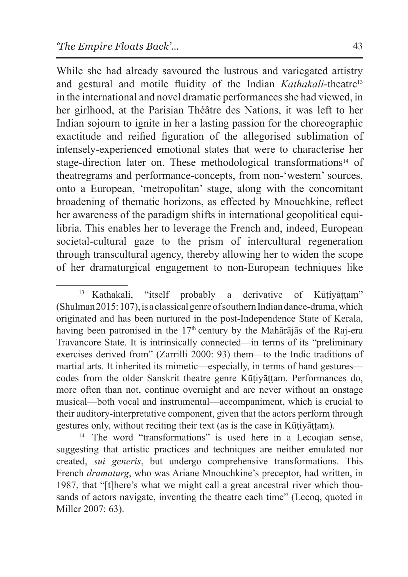While she had already savoured the lustrous and variegated artistry and gestural and motile fluidity of the Indian *Kathakali*-theatre<sup>13</sup> in the international and novel dramatic performances she had viewed, in her girlhood, at the Parisian Théâtre des Nations, it was left to her Indian sojourn to ignite in her a lasting passion for the choreographic exactitude and reified figuration of the allegorised sublimation of intensely-experienced emotional states that were to characterise her stage-direction later on. These methodological transformations<sup>14</sup> of theatregrams and performance-concepts, from non-'western' sources, onto a European, 'metropolitan' stage, along with the concomitant broadening of thematic horizons, as effected by Mnouchkine, reflect her awareness of the paradigm shifts in international geopolitical equilibria. This enables her to leverage the French and, indeed, European societal-cultural gaze to the prism of intercultural regeneration through transcultural agency, thereby allowing her to widen the scope of her dramaturgical engagement to non-European techniques like

<sup>&</sup>lt;sup>13</sup> Kathakali, "itself probably a derivative of Kūtiyāttam" (Shulman 2015: 107), is a classical genre of southern Indian dance-drama, which originated and has been nurtured in the post-Independence State of Kerala, having been patronised in the  $17<sup>th</sup>$  century by the Mahārājās of the Raj-era Travancore State. It is intrinsically connected—in terms of its "preliminary exercises derived from" (Zarrilli 2000: 93) them—to the Indic traditions of martial arts. It inherited its mimetic—especially, in terms of hand gestures codes from the older Sanskrit theatre genre Kūṭiyāṭṭam. Performances do, more often than not, continue overnight and are never without an onstage musical—both vocal and instrumental—accompaniment, which is crucial to their auditory-interpretative component, given that the actors perform through gestures only, without reciting their text (as is the case in Kūṭiyāṭṭam).

<sup>&</sup>lt;sup>14</sup> The word "transformations" is used here in a Lecoqian sense, suggesting that artistic practices and techniques are neither emulated nor created, *sui generis*, but undergo comprehensive transformations. This French *dramaturg*, who was Ariane Mnouchkine's preceptor, had written, in 1987, that "[t]here's what we might call a great ancestral river which thousands of actors navigate, inventing the theatre each time" (Lecoq, quoted in Miller 2007: 63).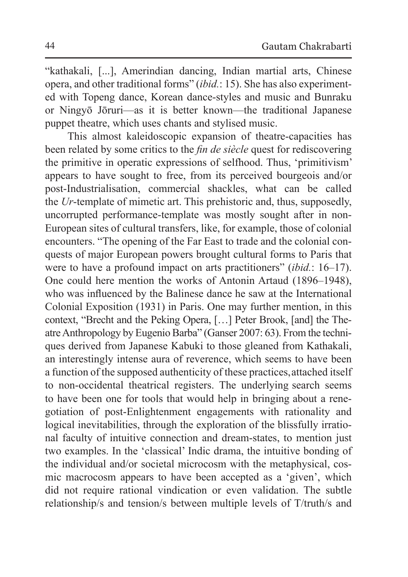"kathakali, [...], Amerindian dancing, Indian martial arts, Chinese opera, and other traditional forms" (*ibid.*: 15). She has also experimented with Topeng dance, Korean dance-styles and music and Bunraku or Ningyō Jōruri—as it is better known—the traditional Japanese puppet theatre, which uses chants and stylised music.

This almost kaleidoscopic expansion of theatre-capacities has been related by some critics to the *fin de siècle* quest for rediscovering the primitive in operatic expressions of selfhood. Thus, 'primitivism' appears to have sought to free, from its perceived bourgeois and/or post-Industrialisation, commercial shackles, what can be called the *Ur*-template of mimetic art. This prehistoric and, thus, supposedly, uncorrupted performance-template was mostly sought after in non-European sites of cultural transfers, like, for example, those of colonial encounters. "The opening of the Far East to trade and the colonial conquests of major European powers brought cultural forms to Paris that were to have a profound impact on arts practitioners" (*ibid.*: 16–17). One could here mention the works of Antonin Artaud (1896–1948), who was influenced by the Balinese dance he saw at the International Colonial Exposition (1931) in Paris. One may further mention, in this context, "Brecht and the Peking Opera, […] Peter Brook, [and] the Theatre Anthropology by Eugenio Barba" (Ganser 2007: 63). From the techniques derived from Japanese Kabuki to those gleaned from Kathakali, an interestingly intense aura of reverence, which seems to have been a function of the supposed authenticity of these practices, attached itself to non-occidental theatrical registers. The underlying search seems to have been one for tools that would help in bringing about a renegotiation of post-Enlightenment engagements with rationality and logical inevitabilities, through the exploration of the blissfully irrational faculty of intuitive connection and dream-states, to mention just two examples. In the 'classical' Indic drama, the intuitive bonding of the individual and/or societal microcosm with the metaphysical, cosmic macrocosm appears to have been accepted as a 'given', which did not require rational vindication or even validation. The subtle relationship/s and tension/s between multiple levels of T/truth/s and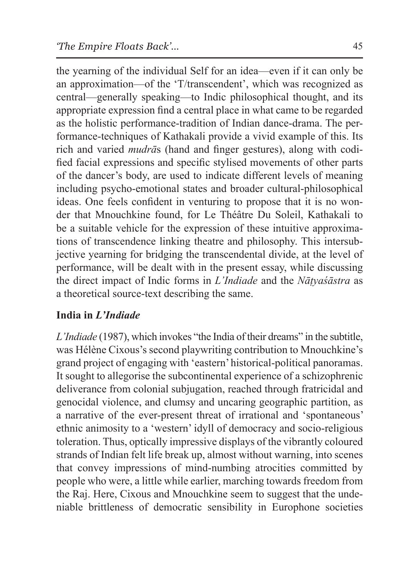the yearning of the individual Self for an idea—even if it can only be an approximation—of the 'T/transcendent', which was recognized as central—generally speaking—to Indic philosophical thought, and its appropriate expression find a central place in what came to be regarded as the holistic performance-tradition of Indian dance-drama. The performance-techniques of Kathakali provide a vivid example of this. Its rich and varied *mudrā*s (hand and finger gestures), along with codified facial expressions and specific stylised movements of other parts of the dancer's body, are used to indicate different levels of meaning including psycho-emotional states and broader cultural-philosophical ideas. One feels confident in venturing to propose that it is no wonder that Mnouchkine found, for Le Théâtre Du Soleil, Kathakali to be a suitable vehicle for the expression of these intuitive approximations of transcendence linking theatre and philosophy. This intersubjective yearning for bridging the transcendental divide, at the level of performance, will be dealt with in the present essay, while discussing the direct impact of Indic forms in *L'Indiade* and the *Nāṭyaśāstra* as a theoretical source-text describing the same.

## **India in** *L'Indiade*

*L'Indiade* (1987), which invokes "the India of their dreams" in the subtitle, was Hélène Cixous's second playwriting contribution to Mnouchkine's grand project of engaging with 'eastern' historical-political panoramas. It sought to allegorise the subcontinental experience of a schizophrenic deliverance from colonial subjugation, reached through fratricidal and genocidal violence, and clumsy and uncaring geographic partition, as a narrative of the ever-present threat of irrational and 'spontaneous' ethnic animosity to a 'western' idyll of democracy and socio-religious toleration. Thus, optically impressive displays of the vibrantly coloured strands of Indian felt life break up, almost without warning, into scenes that convey impressions of mind-numbing atrocities committed by people who were, a little while earlier, marching towards freedom from the Raj. Here, Cixous and Mnouchkine seem to suggest that the undeniable brittleness of democratic sensibility in Europhone societies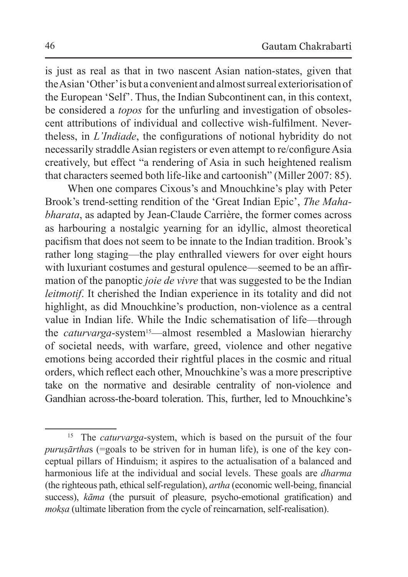is just as real as that in two nascent Asian nation-states, given that theAsian 'Other' is but a convenient and almost surreal exteriorisation of the European 'Self'. Thus, the Indian Subcontinent can, in this context, be considered a *topos* for the unfurling and investigation of obsolescent attributions of individual and collective wish-fulfilment. Nevertheless, in *L'Indiade*, the configurations of notional hybridity do not necessarily straddle Asian registers or even attempt to re/configure Asia creatively, but effect "a rendering of Asia in such heightened realism that characters seemed both life-like and cartoonish" (Miller 2007: 85).

When one compares Cixous's and Mnouchkine's play with Peter Brook's trend-setting rendition of the 'Great Indian Epic', *The Mahabharata*, as adapted by Jean-Claude Carrière, the former comes across as harbouring a nostalgic yearning for an idyllic, almost theoretical pacifism that does not seem to be innate to the Indian tradition. Brook's rather long staging—the play enthralled viewers for over eight hours with luxuriant costumes and gestural opulence—seemed to be an affirmation of the panoptic *joie de vivre* that was suggested to be the Indian *leitmotif*. It cherished the Indian experience in its totality and did not highlight, as did Mnouchkine's production, non-violence as a central value in Indian life. While the Indic schematisation of life—through the *caturvarga*-system<sup>15</sup>—almost resembled a Maslowian hierarchy of societal needs, with warfare, greed, violence and other negative emotions being accorded their rightful places in the cosmic and ritual orders, which reflect each other, Mnouchkine's was a more prescriptive take on the normative and desirable centrality of non-violence and Gandhian across-the-board toleration. This, further, led to Mnouchkine's

<sup>15</sup> The *caturvarga*-system, which is based on the pursuit of the four *puruṣārtha*s (=goals to be striven for in human life), is one of the key conceptual pillars of Hinduism; it aspires to the actualisation of a balanced and harmonious life at the individual and social levels. These goals are *dharma* (the righteous path, ethical self-regulation), *artha* (economic well-being, financial success), *kāma* (the pursuit of pleasure, psycho-emotional gratification) and *mokṣa* (ultimate liberation from the cycle of reincarnation, self-realisation).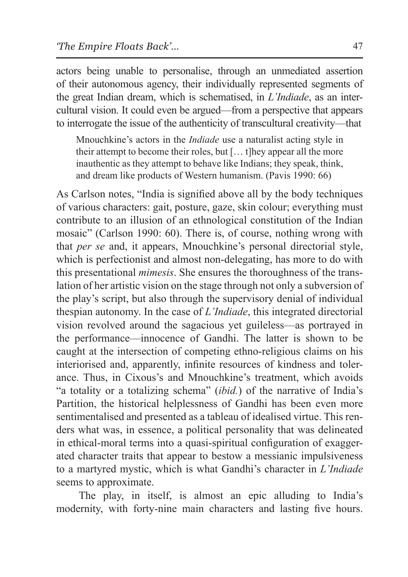actors being unable to personalise, through an unmediated assertion of their autonomous agency, their individually represented segments of the great Indian dream, which is schematised, in *L'Indiade*, as an intercultural vision. It could even be argued—from a perspective that appears to interrogate the issue of the authenticity of transcultural creativity—that

Mnouchkine's actors in the *Indiade* use a naturalist acting style in their attempt to become their roles, but [… t]hey appear all the more inauthentic as they attempt to behave like Indians; they speak, think, and dream like products of Western humanism. (Pavis 1990: 66)

As Carlson notes, "India is signified above all by the body techniques of various characters: gait, posture, gaze, skin colour; everything must contribute to an illusion of an ethnological constitution of the Indian mosaic" (Carlson 1990: 60). There is, of course, nothing wrong with that *per se* and, it appears, Mnouchkine's personal directorial style, which is perfectionist and almost non-delegating, has more to do with this presentational *mimesis*. She ensures the thoroughness of the translation of her artistic vision on the stage through not only a subversion of the play's script, but also through the supervisory denial of individual thespian autonomy. In the case of *L'Indiade*, this integrated directorial vision revolved around the sagacious yet guileless—as portrayed in the performance—innocence of Gandhi. The latter is shown to be caught at the intersection of competing ethno-religious claims on his interiorised and, apparently, infinite resources of kindness and tolerance. Thus, in Cixous's and Mnouchkine's treatment, which avoids "a totality or a totalizing schema" (*ibid.*) of the narrative of India's Partition, the historical helplessness of Gandhi has been even more sentimentalised and presented as a tableau of idealised virtue. This renders what was, in essence, a political personality that was delineated in ethical-moral terms into a quasi-spiritual configuration of exaggerated character traits that appear to bestow a messianic impulsiveness to a martyred mystic, which is what Gandhi's character in *L'Indiade* seems to approximate.

The play, in itself, is almost an epic alluding to India's modernity, with forty-nine main characters and lasting five hours.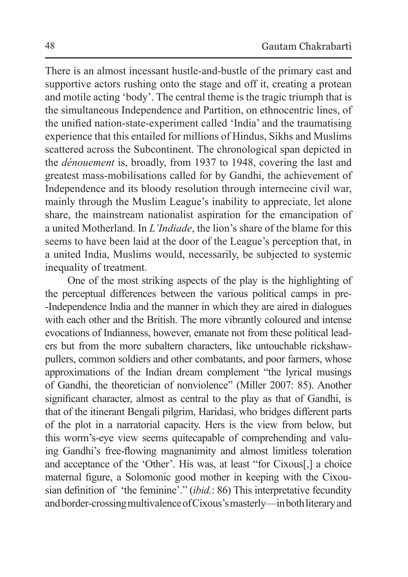There is an almost incessant hustle-and-bustle of the primary cast and supportive actors rushing onto the stage and off it, creating a protean and motile acting 'body'. The central theme is the tragic triumph that is the simultaneous Independence and Partition, on ethnocentric lines, of the unified nation-state-experiment called 'India' and the traumatising experience that this entailed for millions of Hindus, Sikhs and Muslims scattered across the Subcontinent. The chronological span depicted in the *dénouement* is, broadly, from 1937 to 1948, covering the last and greatest mass-mobilisations called for by Gandhi, the achievement of Independence and its bloody resolution through internecine civil war, mainly through the Muslim League's inability to appreciate, let alone share, the mainstream nationalist aspiration for the emancipation of a united Motherland. In *L'Indiade*, the lion's share of the blame for this seems to have been laid at the door of the League's perception that, in a united India, Muslims would, necessarily, be subjected to systemic inequality of treatment.

One of the most striking aspects of the play is the highlighting of the perceptual differences between the various political camps in pre- -Independence India and the manner in which they are aired in dialogues with each other and the British. The more vibrantly coloured and intense evocations of Indianness, however, emanate not from these political leaders but from the more subaltern characters, like untouchable rickshawpullers, common soldiers and other combatants, and poor farmers, whose approximations of the Indian dream complement "the lyrical musings of Gandhi, the theoretician of nonviolence" (Miller 2007: 85). Another significant character, almost as central to the play as that of Gandhi, is that of the itinerant Bengali pilgrim, Haridasi, who bridges different parts of the plot in a narratorial capacity. Hers is the view from below, but this worm's-eye view seems quitecapable of comprehending and valuing Gandhi's free-flowing magnanimity and almost limitless toleration and acceptance of the 'Other'. His was, at least "for Cixous[,] a choice maternal figure, a Solomonic good mother in keeping with the Cixousian definition of 'the feminine'." (*ibid.*: 86) This interpretative fecundity and border-crossing multivalence of Cixous's masterly—in both literary and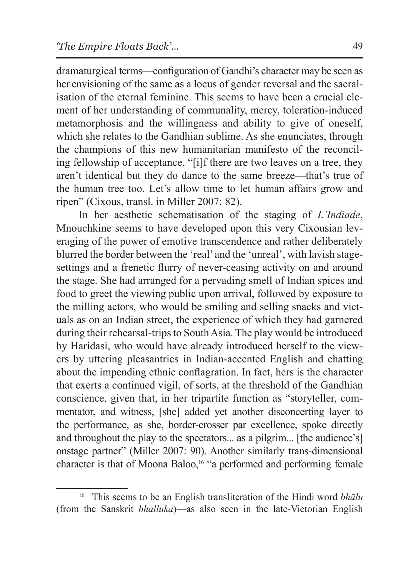dramaturgical terms—configuration of Gandhi's character may be seen as her envisioning of the same as a locus of gender reversal and the sacralisation of the eternal feminine. This seems to have been a crucial element of her understanding of communality, mercy, toleration-induced metamorphosis and the willingness and ability to give of oneself, which she relates to the Gandhian sublime. As she enunciates, through the champions of this new humanitarian manifesto of the reconciling fellowship of acceptance, "[i]f there are two leaves on a tree, they aren't identical but they do dance to the same breeze—that's true of the human tree too. Let's allow time to let human affairs grow and ripen" (Cixous, transl. in Miller 2007: 82).

In her aesthetic schematisation of the staging of *L'Indiade*, Mnouchkine seems to have developed upon this very Cixousian leveraging of the power of emotive transcendence and rather deliberately blurred the border between the 'real' and the 'unreal', with lavish stagesettings and a frenetic flurry of never-ceasing activity on and around the stage. She had arranged for a pervading smell of Indian spices and food to greet the viewing public upon arrival, followed by exposure to the milling actors, who would be smiling and selling snacks and victuals as on an Indian street, the experience of which they had garnered during their rehearsal-trips to South Asia. The play would be introduced by Haridasi, who would have already introduced herself to the viewers by uttering pleasantries in Indian-accented English and chatting about the impending ethnic conflagration. In fact, hers is the character that exerts a continued vigil, of sorts, at the threshold of the Gandhian conscience, given that, in her tripartite function as "storyteller, commentator, and witness, [she] added yet another disconcerting layer to the performance, as she, border-crosser par excellence, spoke directly and throughout the play to the spectators... as a pilgrim... [the audience's] onstage partner" (Miller 2007: 90). Another similarly trans-dimensional character is that of Moona Baloo,16 "a performed and performing female

<sup>16</sup> This seems to be an English transliteration of the Hindi word *bhālu* (from the Sanskrit *bhalluka*)—as also seen in the late-Victorian English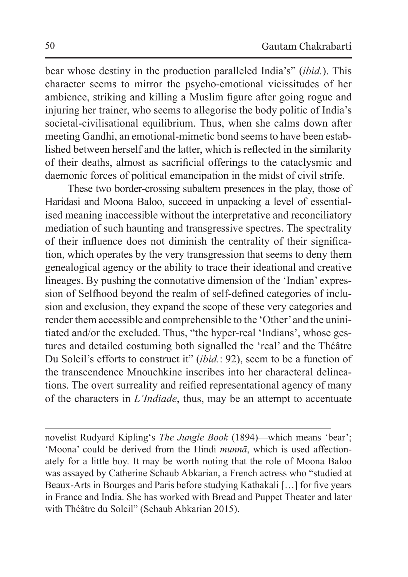bear whose destiny in the production paralleled India's" (*ibid.*). This character seems to mirror the psycho-emotional vicissitudes of her ambience, striking and killing a Muslim figure after going rogue and injuring her trainer, who seems to allegorise the body politic of India's societal-civilisational equilibrium. Thus, when she calms down after meeting Gandhi, an emotional-mimetic bond seems to have been established between herself and the latter, which is reflected in the similarity of their deaths, almost as sacrificial offerings to the cataclysmic and daemonic forces of political emancipation in the midst of civil strife.

These two border-crossing subaltern presences in the play, those of Haridasi and Moona Baloo, succeed in unpacking a level of essentialised meaning inaccessible without the interpretative and reconciliatory mediation of such haunting and transgressive spectres. The spectrality of their influence does not diminish the centrality of their signification, which operates by the very transgression that seems to deny them genealogical agency or the ability to trace their ideational and creative lineages. By pushing the connotative dimension of the 'Indian' expression of Selfhood beyond the realm of self-defined categories of inclusion and exclusion, they expand the scope of these very categories and render them accessible and comprehensible to the 'Other' and the uninitiated and/or the excluded. Thus, "the hyper-real 'Indians', whose gestures and detailed costuming both signalled the 'real' and the Théâtre Du Soleil's efforts to construct it" (*ibid.*: 92), seem to be a function of the transcendence Mnouchkine inscribes into her characteral delineations. The overt surreality and reified representational agency of many of the characters in *L'Indiade*, thus, may be an attempt to accentuate

novelist Rudyard Kipling's *The Jungle Book* (1894)—which means 'bear'; 'Moona' could be derived from the Hindi *munnā*, which is used affectionately for a little boy. It may be worth noting that the role of Moona Baloo was assayed by Catherine Schaub Abkarian, a French actress who "studied at Beaux-Arts in Bourges and Paris before studying Kathakali […] for five years in France and India. She has worked with Bread and Puppet Theater and later with Théâtre du Soleil" (Schaub Abkarian 2015).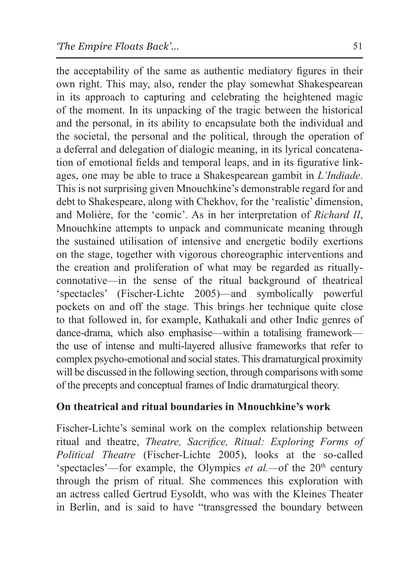the acceptability of the same as authentic mediatory figures in their own right. This may, also, render the play somewhat Shakespearean in its approach to capturing and celebrating the heightened magic of the moment. In its unpacking of the tragic between the historical and the personal, in its ability to encapsulate both the individual and the societal, the personal and the political, through the operation of a deferral and delegation of dialogic meaning, in its lyrical concatenation of emotional fields and temporal leaps, and in its figurative linkages, one may be able to trace a Shakespearean gambit in *L'Indiade*. This is not surprising given Mnouchkine's demonstrable regard for and debt to Shakespeare, along with Chekhov, for the 'realistic' dimension, and Molière, for the 'comic'. As in her interpretation of *Richard II*, Mnouchkine attempts to unpack and communicate meaning through the sustained utilisation of intensive and energetic bodily exertions on the stage, together with vigorous choreographic interventions and the creation and proliferation of what may be regarded as rituallyconnotative—in the sense of the ritual background of theatrical 'spectacles' (Fischer-Lichte 2005)—and symbolically powerful pockets on and off the stage. This brings her technique quite close to that followed in, for example, Kathakali and other Indic genres of dance-drama, which also emphasise—within a totalising framework the use of intense and multi-layered allusive frameworks that refer to complex psycho-emotional and social states. This dramaturgical proximity will be discussed in the following section, through comparisons with some of the precepts and conceptual frames of Indic dramaturgical theory.

### **On theatrical and ritual boundaries in Mnouchkine's work**

Fischer-Lichte's seminal work on the complex relationship between ritual and theatre, *Theatre, Sacrifice, Ritual: Exploring Forms of Political Theatre* (Fischer-Lichte 2005), looks at the so-called 'spectacles'—for example, the Olympics *et al.*—of the  $20<sup>th</sup>$  century through the prism of ritual. She commences this exploration with an actress called Gertrud Eysoldt, who was with the Kleines Theater in Berlin, and is said to have "transgressed the boundary between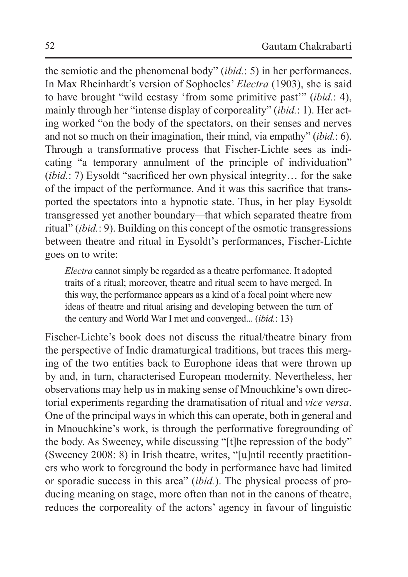the semiotic and the phenomenal body" (*ibid.*: 5) in her performances. In Max Rheinhardt's version of Sophocles' *Electra* (1903), she is said to have brought "wild ecstasy 'from some primitive past'" (*ibid.*: 4), mainly through her "intense display of corporeality" (*ibid.*: 1). Her acting worked "on the body of the spectators, on their senses and nerves and not so much on their imagination, their mind, via empathy" (*ibid.*: 6). Through a transformative process that Fischer-Lichte sees as indicating "a temporary annulment of the principle of individuation" (*ibid.*: 7) Eysoldt "sacrificed her own physical integrity… for the sake of the impact of the performance. And it was this sacrifice that transported the spectators into a hypnotic state. Thus, in her play Eysoldt transgressed yet another boundary*—*that which separated theatre from ritual" (*ibid.*: 9). Building on this concept of the osmotic transgressions between theatre and ritual in Eysoldt's performances, Fischer-Lichte goes on to write:

*Electra* cannot simply be regarded as a theatre performance. It adopted traits of a ritual; moreover, theatre and ritual seem to have merged. In this way, the performance appears as a kind of a focal point where new ideas of theatre and ritual arising and developing between the turn of the century and World War I met and converged... (*ibid.*: 13)

Fischer-Lichte's book does not discuss the ritual/theatre binary from the perspective of Indic dramaturgical traditions, but traces this merging of the two entities back to Europhone ideas that were thrown up by and, in turn, characterised European modernity. Nevertheless, her observations may help us in making sense of Mnouchkine's own directorial experiments regarding the dramatisation of ritual and *vice versa*. One of the principal ways in which this can operate, both in general and in Mnouchkine's work, is through the performative foregrounding of the body. As Sweeney, while discussing "[t]he repression of the body" (Sweeney 2008: 8) in Irish theatre, writes, "[u]ntil recently practitioners who work to foreground the body in performance have had limited or sporadic success in this area" (*ibid.*). The physical process of producing meaning on stage, more often than not in the canons of theatre, reduces the corporeality of the actors' agency in favour of linguistic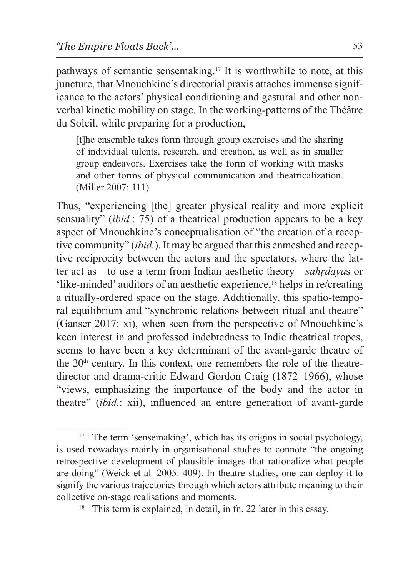pathways of semantic sensemaking.17 It is worthwhile to note, at this juncture, that Mnouchkine's directorial praxis attaches immense significance to the actors' physical conditioning and gestural and other nonverbal kinetic mobility on stage. In the working-patterns of the Théâtre du Soleil, while preparing for a production,

[t]he ensemble takes form through group exercises and the sharing of individual talents, research, and creation, as well as in smaller group endeavors. Exercises take the form of working with masks and other forms of physical communication and theatricalization. (Miller 2007: 111)

Thus, "experiencing [the] greater physical reality and more explicit sensuality" (*ibid.*: 75) of a theatrical production appears to be a key aspect of Mnouchkine's conceptualisation of "the creation of a receptive community" (*ibid.*). It may be argued that this enmeshed and receptive reciprocity between the actors and the spectators, where the latter act as—to use a term from Indian aesthetic theory—*sahṛdaya*s or 'like-minded' auditors of an aesthetic experience,18 helps in re/creating a ritually-ordered space on the stage. Additionally, this spatio-temporal equilibrium and "synchronic relations between ritual and theatre" (Ganser 2017: xi), when seen from the perspective of Mnouchkine's keen interest in and professed indebtedness to Indic theatrical tropes, seems to have been a key determinant of the avant-garde theatre of the  $20<sup>th</sup>$  century. In this context, one remembers the role of the theatredirector and drama-critic Edward Gordon Craig (1872–1966), whose "views, emphasizing the importance of the body and the actor in theatre" (*ibid.*: xii), influenced an entire generation of avant-garde

<sup>&</sup>lt;sup>17</sup> The term 'sensemaking', which has its origins in social psychology, is used nowadays mainly in organisational studies to connote "the ongoing retrospective development of plausible images that rationalize what people are doing" (Weick et al*.* 2005: 409). In theatre studies, one can deploy it to signify the various trajectories through which actors attribute meaning to their collective on-stage realisations and moments.

<sup>&</sup>lt;sup>18</sup> This term is explained, in detail, in fn. 22 later in this essay.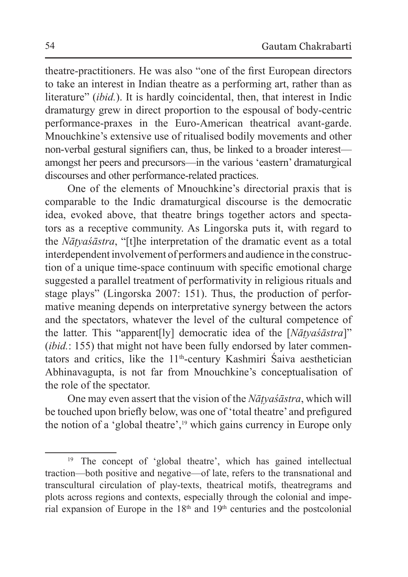theatre-practitioners. He was also "one of the first European directors to take an interest in Indian theatre as a performing art, rather than as literature" *(ibid.)*. It is hardly coincidental, then, that interest in Indic dramaturgy grew in direct proportion to the espousal of body-centric performance-praxes in the Euro-American theatrical avant-garde. Mnouchkine's extensive use of ritualised bodily movements and other non-verbal gestural signifiers can, thus, be linked to a broader interest amongst her peers and precursors—in the various 'eastern' dramaturgical discourses and other performance-related practices.

One of the elements of Mnouchkine's directorial praxis that is comparable to the Indic dramaturgical discourse is the democratic idea, evoked above, that theatre brings together actors and spectators as a receptive community. As Lingorska puts it, with regard to the *Nāṭyaśāstra*, "[t]he interpretation of the dramatic event as a total interdependent involvement of performers and audience in the construction of a unique time-space continuum with specific emotional charge suggested a parallel treatment of performativity in religious rituals and stage plays" (Lingorska 2007: 151). Thus, the production of performative meaning depends on interpretative synergy between the actors and the spectators, whatever the level of the cultural competence of the latter. This "apparent[ly] democratic idea of the [*Nāṭyaśāstra*]" (*ibid.*: 155) that might not have been fully endorsed by later commentators and critics, like the  $11<sup>th</sup>$ -century Kashmiri Śaiva aesthetician Abhinavagupta, is not far from Mnouchkine's conceptualisation of the role of the spectator.

One may even assert that the vision of the *Nāṭyaśāstra*, which will be touched upon briefly below, was one of 'total theatre' and prefigured the notion of a 'global theatre',19 which gains currency in Europe only

<sup>19</sup> The concept of 'global theatre', which has gained intellectual traction—both positive and negative—of late, refers to the transnational and transcultural circulation of play-texts, theatrical motifs, theatregrams and plots across regions and contexts, especially through the colonial and imperial expansion of Europe in the  $18<sup>th</sup>$  and  $19<sup>th</sup>$  centuries and the postcolonial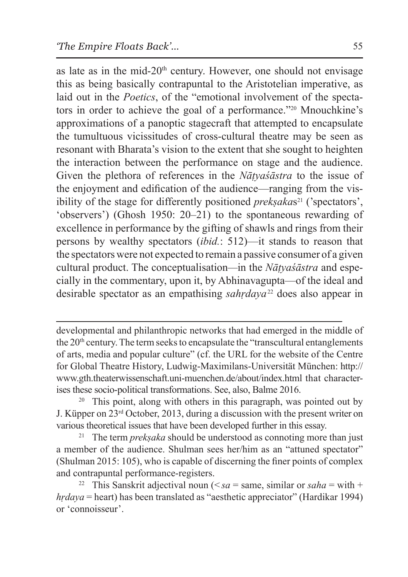as late as in the mid- $20<sup>th</sup>$  century. However, one should not envisage this as being basically contrapuntal to the Aristotelian imperative, as laid out in the *Poetics*, of the "emotional involvement of the spectators in order to achieve the goal of a performance."20 Mnouchkine's approximations of a panoptic stagecraft that attempted to encapsulate the tumultuous vicissitudes of cross-cultural theatre may be seen as resonant with Bharata's vision to the extent that she sought to heighten the interaction between the performance on stage and the audience. Given the plethora of references in the *Nāṭyaśāstra* to the issue of the enjoyment and edification of the audience—ranging from the visibility of the stage for differently positioned *preksakas*<sup>21</sup> ('spectators', 'observers') (Ghosh 1950: 20–21) to the spontaneous rewarding of excellence in performance by the gifting of shawls and rings from their persons by wealthy spectators (*ibid.*: 512)—it stands to reason that the spectators were not expected to remain a passive consumer of a given cultural product. The conceptualisation*—*in the *Nāṭyaśāstra* and especially in the commentary, upon it, by Abhinavagupta—of the ideal and desirable spectator as an empathising *sahṛdaya*22 does also appear in

developmental and philanthropic networks that had emerged in the middle of the  $20<sup>th</sup>$  century. The term seeks to encapsulate the "transcultural entanglements" of arts, media and popular culture" (cf. the URL for the website of the Centre for Global Theatre History, Ludwig-Maximilans-Universität München: http:// www.gth.theaterwissenschaft.uni-muenchen.de/about/index.html that characterises these socio-political transformations. See, also, Balme 2016.

<sup>20</sup> This point, along with others in this paragraph, was pointed out by J. Küpper on 23rd October, 2013, during a discussion with the present writer on various theoretical issues that have been developed further in this essay.<br><sup>21</sup> The term *preksaka* should be understood as connoting more than just

a member of the audience. Shulman sees her/him as an "attuned spectator" (Shulman 2015: 105), who is capable of discerning the finer points of complex and contrapuntal performance-registers.

<sup>22</sup> This Sanskrit adjectival noun ( $\leq$ sa = same, similar or saha = with + *hṛdaya* = heart) has been translated as "aesthetic appreciator" (Hardikar 1994) or 'connoisseur'.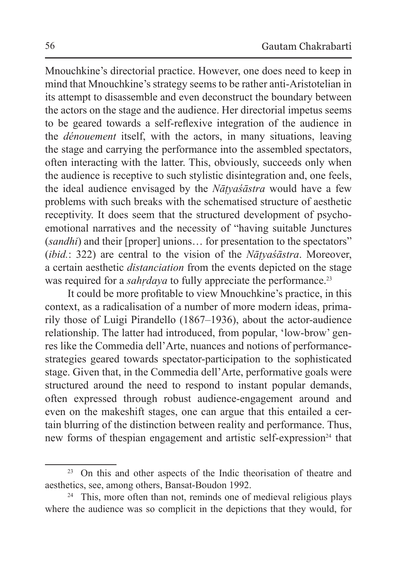Mnouchkine's directorial practice. However, one does need to keep in mind that Mnouchkine's strategy seems to be rather anti-Aristotelian in its attempt to disassemble and even deconstruct the boundary between the actors on the stage and the audience. Her directorial impetus seems to be geared towards a self-reflexive integration of the audience in the *dénouement* itself, with the actors, in many situations, leaving the stage and carrying the performance into the assembled spectators, often interacting with the latter. This, obviously, succeeds only when the audience is receptive to such stylistic disintegration and, one feels, the ideal audience envisaged by the *Nāṭyaśāstra* would have a few problems with such breaks with the schematised structure of aesthetic receptivity. It does seem that the structured development of psychoemotional narratives and the necessity of "having suitable Junctures (*sandhi*) and their [proper] unions… for presentation to the spectators" (*ibid.*: 322) are central to the vision of the *Nāṭyaśāstra*. Moreover, a certain aesthetic *distanciation* from the events depicted on the stage was required for a *sahrdaya* to fully appreciate the performance.<sup>23</sup>

It could be more profitable to view Mnouchkine's practice, in this context, as a radicalisation of a number of more modern ideas, primarily those of Luigi Pirandello (1867–1936), about the actor-audience relationship. The latter had introduced, from popular, 'low-brow' genres like the Commedia dell'Arte, nuances and notions of performancestrategies geared towards spectator-participation to the sophisticated stage. Given that, in the Commedia dell'Arte, performative goals were structured around the need to respond to instant popular demands, often expressed through robust audience-engagement around and even on the makeshift stages, one can argue that this entailed a certain blurring of the distinction between reality and performance. Thus, new forms of thespian engagement and artistic self-expression<sup>24</sup> that

<sup>&</sup>lt;sup>23</sup> On this and other aspects of the Indic theorisation of theatre and aesthetics, see, among others, Bansat-Boudon 1992.

<sup>&</sup>lt;sup>24</sup> This, more often than not, reminds one of medieval religious plays where the audience was so complicit in the depictions that they would, for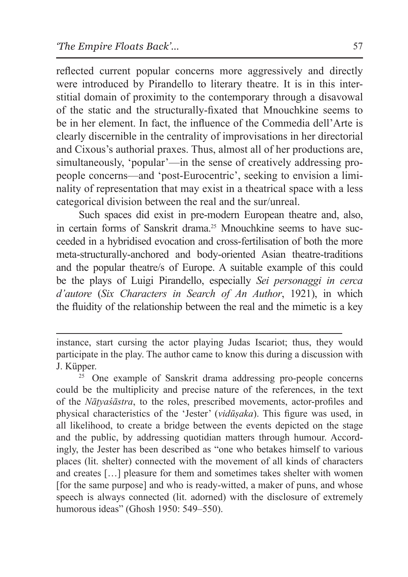reflected current popular concerns more aggressively and directly were introduced by Pirandello to literary theatre. It is in this interstitial domain of proximity to the contemporary through a disavowal of the static and the structurally-fixated that Mnouchkine seems to be in her element. In fact, the influence of the Commedia dell'Arte is clearly discernible in the centrality of improvisations in her directorial and Cixous's authorial praxes. Thus, almost all of her productions are, simultaneously, 'popular'—in the sense of creatively addressing propeople concerns—and 'post-Eurocentric', seeking to envision a liminality of representation that may exist in a theatrical space with a less categorical division between the real and the sur/unreal.

Such spaces did exist in pre-modern European theatre and, also, in certain forms of Sanskrit drama<sup>25</sup> Mnouchkine seems to have succeeded in a hybridised evocation and cross-fertilisation of both the more meta-structurally-anchored and body-oriented Asian theatre-traditions and the popular theatre/s of Europe. A suitable example of this could be the plays of Luigi Pirandello, especially *Sei personaggi in cerca d'autore* (*Six Characters in Search of An Author*, 1921), in which the fluidity of the relationship between the real and the mimetic is a key

instance, start cursing the actor playing Judas Iscariot; thus, they would participate in the play. The author came to know this during a discussion with J. Küpper. 25 One example of Sanskrit drama addressing pro-people concerns

could be the multiplicity and precise nature of the references, in the text of the *Nāṭyaśāstra*, to the roles, prescribed movements, actor-profiles and physical characteristics of the 'Jester' (*vidūṣaka*). This figure was used, in all likelihood, to create a bridge between the events depicted on the stage and the public, by addressing quotidian matters through humour. Accordingly, the Jester has been described as "one who betakes himself to various places (lit. shelter) connected with the movement of all kinds of characters and creates […] pleasure for them and sometimes takes shelter with women [for the same purpose] and who is ready-witted, a maker of puns, and whose speech is always connected (lit. adorned) with the disclosure of extremely humorous ideas" (Ghosh 1950: 549–550).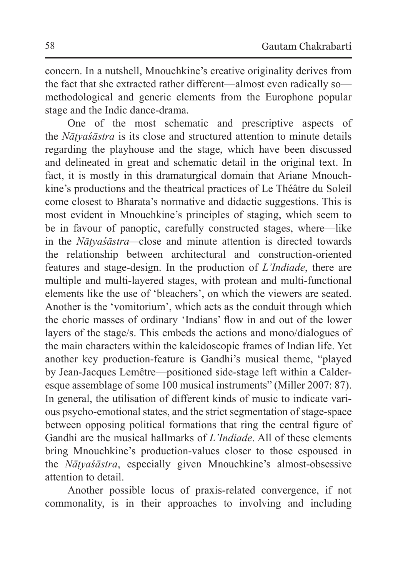concern. In a nutshell, Mnouchkine's creative originality derives from the fact that she extracted rather different—almost even radically so methodological and generic elements from the Europhone popular stage and the Indic dance-drama.

One of the most schematic and prescriptive aspects of the *Nāṭyaśāstra* is its close and structured attention to minute details regarding the playhouse and the stage, which have been discussed and delineated in great and schematic detail in the original text. In fact, it is mostly in this dramaturgical domain that Ariane Mnouchkine's productions and the theatrical practices of Le Théâtre du Soleil come closest to Bharata's normative and didactic suggestions. This is most evident in Mnouchkine's principles of staging, which seem to be in favour of panoptic, carefully constructed stages, where—like in the *Nāṭyaśāstra—*close and minute attention is directed towards the relationship between architectural and construction-oriented features and stage-design. In the production of *L'Indiade*, there are multiple and multi-layered stages, with protean and multi-functional elements like the use of 'bleachers', on which the viewers are seated. Another is the 'vomitorium', which acts as the conduit through which the choric masses of ordinary 'Indians' flow in and out of the lower layers of the stage/s. This embeds the actions and mono/dialogues of the main characters within the kaleidoscopic frames of Indian life. Yet another key production-feature is Gandhi's musical theme, "played by Jean-Jacques Lemêtre—positioned side-stage left within a Calderesque assemblage of some 100 musical instruments" (Miller 2007: 87). In general, the utilisation of different kinds of music to indicate various psycho-emotional states, and the strict segmentation of stage-space between opposing political formations that ring the central figure of Gandhi are the musical hallmarks of *L'Indiade*. All of these elements bring Mnouchkine's production-values closer to those espoused in the *Nāṭyaśāstra*, especially given Mnouchkine's almost-obsessive attention to detail.

Another possible locus of praxis-related convergence, if not commonality, is in their approaches to involving and including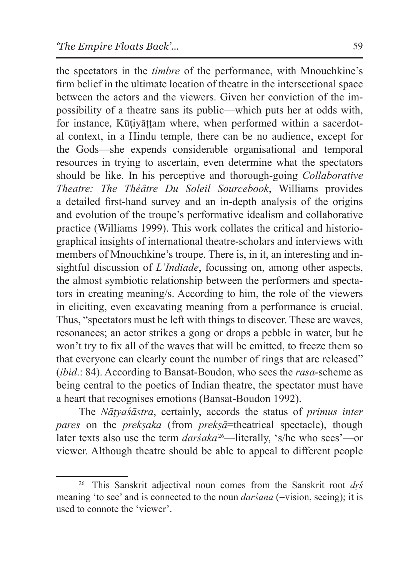the spectators in the *timbre* of the performance, with Mnouchkine's firm belief in the ultimate location of theatre in the intersectional space between the actors and the viewers. Given her conviction of the impossibility of a theatre sans its public—which puts her at odds with, for instance, Kūtiyāttam where, when performed within a sacerdotal context, in a Hindu temple, there can be no audience, except for the Gods—she expends considerable organisational and temporal resources in trying to ascertain, even determine what the spectators should be like. In his perceptive and thorough-going *Collaborative Theatre: The Théâtre Du Soleil Sourcebook*, Williams provides a detailed first-hand survey and an in-depth analysis of the origins and evolution of the troupe's performative idealism and collaborative practice (Williams 1999). This work collates the critical and historiographical insights of international theatre-scholars and interviews with members of Mnouchkine's troupe. There is, in it, an interesting and insightful discussion of *L'Indiade*, focussing on, among other aspects, the almost symbiotic relationship between the performers and spectators in creating meaning/s. According to him, the role of the viewers in eliciting, even excavating meaning from a performance is crucial. Thus, "spectators must be left with things to discover. These are waves, resonances; an actor strikes a gong or drops a pebble in water, but he won't try to fix all of the waves that will be emitted, to freeze them so that everyone can clearly count the number of rings that are released" (*ibid*.: 84). According to Bansat-Boudon, who sees the *rasa*-scheme as being central to the poetics of Indian theatre, the spectator must have a heart that recognises emotions (Bansat-Boudon 1992).

The *Nāṭyaśāstra*, certainly, accords the status of *primus inter pares* on the *prekṣaka* (from *prekṣā*=theatrical spectacle), though later texts also use the term *darśaka*26—literally, 's/he who sees'—or viewer. Although theatre should be able to appeal to different people

<sup>26</sup> This Sanskrit adjectival noun comes from the Sanskrit root *dṛś* meaning 'to see' and is connected to the noun *darsana* (=vision, seeing); it is used to connote the 'viewer'.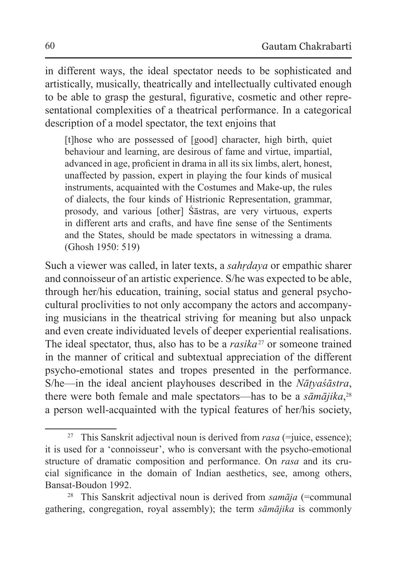in different ways, the ideal spectator needs to be sophisticated and artistically, musically, theatrically and intellectually cultivated enough to be able to grasp the gestural, figurative, cosmetic and other representational complexities of a theatrical performance. In a categorical description of a model spectator, the text enjoins that

[t]hose who are possessed of [good] character, high birth, quiet behaviour and learning, are desirous of fame and virtue, impartial, advanced in age, proficient in drama in all its six limbs, alert, honest, unaffected by passion, expert in playing the four kinds of musical instruments, acquainted with the Costumes and Make-up, the rules of dialects, the four kinds of Histrionic Representation, grammar, prosody, and various [other] Śāstras, are very virtuous, experts in different arts and crafts, and have fine sense of the Sentiments and the States, should be made spectators in witnessing a drama. (Ghosh 1950: 519)

Such a viewer was called, in later texts, a *sahṛdaya* or empathic sharer and connoisseur of an artistic experience. S/he was expected to be able, through her/his education, training, social status and general psychocultural proclivities to not only accompany the actors and accompanying musicians in the theatrical striving for meaning but also unpack and even create individuated levels of deeper experiential realisations. The ideal spectator, thus, also has to be a *rasika*27 or someone trained in the manner of critical and subtextual appreciation of the different psycho-emotional states and tropes presented in the performance. S/he—in the ideal ancient playhouses described in the *Nāṭyaśāstra*, there were both female and male spectators—has to be a *sāmājika*, 28 a person well-acquainted with the typical features of her/his society,

<sup>27</sup> This Sanskrit adjectival noun is derived from *rasa* (=juice, essence); it is used for a 'connoisseur', who is conversant with the psycho-emotional structure of dramatic composition and performance. On *rasa* and its crucial significance in the domain of Indian aesthetics, see, among others, Bansat-Boudon 1992.

<sup>&</sup>lt;sup>28</sup> This Sanskrit adjectival noun is derived from *samāja* (=communal gathering, congregation, royal assembly); the term *sāmājika* is commonly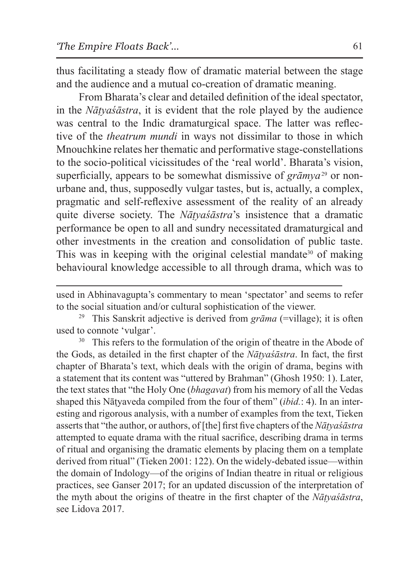thus facilitating a steady flow of dramatic material between the stage and the audience and a mutual co-creation of dramatic meaning.

From Bharata's clear and detailed definition of the ideal spectator, in the *Nāṭyaśāstra*, it is evident that the role played by the audience was central to the Indic dramaturgical space. The latter was reflective of the *theatrum mundi* in ways not dissimilar to those in which Mnouchkine relates her thematic and performative stage-constellations to the socio-political vicissitudes of the 'real world'. Bharata's vision, superficially, appears to be somewhat dismissive of *grāmya*<sup>29</sup> or nonurbane and, thus, supposedly vulgar tastes, but is, actually, a complex, pragmatic and self-reflexive assessment of the reality of an already quite diverse society. The *Nāṭyaśāstra*'s insistence that a dramatic performance be open to all and sundry necessitated dramaturgical and other investments in the creation and consolidation of public taste. This was in keeping with the original celestial mandate<sup>30</sup> of making behavioural knowledge accessible to all through drama, which was to

the Gods, as detailed in the first chapter of the *Nāṭyaśāstra*. In fact, the first chapter of Bharata's text, which deals with the origin of drama, begins with a statement that its content was "uttered by Brahman" (Ghosh 1950: 1). Later, the text states that "the Holy One (*bhagavat*) from his memory of all the Vedas shaped this Nāṭyaveda compiled from the four of them" (*ibid.*: 4). In an interesting and rigorous analysis, with a number of examples from the text, Tieken asserts that "the author, or authors, of [the] first five chapters of the *Nāṭyaśāstra* attempted to equate drama with the ritual sacrifice, describing drama in terms of ritual and organising the dramatic elements by placing them on a template derived from ritual" (Tieken 2001: 122). On the widely-debated issue—within the domain of Indology—of the origins of Indian theatre in ritual or religious practices, see Ganser 2017; for an updated discussion of the interpretation of the myth about the origins of theatre in the first chapter of the *Nāṭyaśāstra*, see Lidova 2017.

used in Abhinavagupta's commentary to mean 'spectator' and seems to refer to the social situation and/or cultural sophistication of the viewer.<br><sup>29</sup> This Sanskrit adjective is derived from *grāma* (=village); it is often

used to connote 'vulgar'. 30 This refers to the formulation of the origin of theatre in the Abode of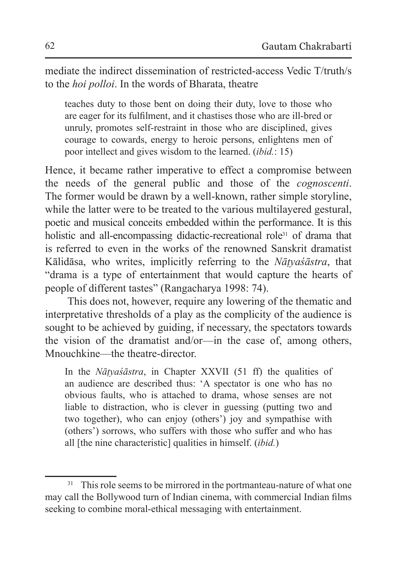mediate the indirect dissemination of restricted-access Vedic T/truth/s to the *hoi polloi*. In the words of Bharata, theatre

teaches duty to those bent on doing their duty, love to those who are eager for its fulfilment, and it chastises those who are ill-bred or unruly, promotes self-restraint in those who are disciplined, gives courage to cowards, energy to heroic persons, enlightens men of poor intellect and gives wisdom to the learned. (*ibid.*: 15)

Hence, it became rather imperative to effect a compromise between the needs of the general public and those of the *cognoscenti*. The former would be drawn by a well-known, rather simple storyline, while the latter were to be treated to the various multilayered gestural, poetic and musical conceits embedded within the performance. It is this holistic and all-encompassing didactic-recreational role<sup>31</sup> of drama that is referred to even in the works of the renowned Sanskrit dramatist Kālidāsa, who writes, implicitly referring to the *Nāṭyaśāstra*, that "drama is a type of entertainment that would capture the hearts of people of different tastes" (Rangacharya 1998: 74).

This does not, however, require any lowering of the thematic and interpretative thresholds of a play as the complicity of the audience is sought to be achieved by guiding, if necessary, the spectators towards the vision of the dramatist and/or—in the case of, among others, Mnouchkine—the theatre-director.

In the *Nāṭyaśāstra*, in Chapter XXVII (51 ff) the qualities of an audience are described thus: 'A spectator is one who has no obvious faults, who is attached to drama, whose senses are not liable to distraction, who is clever in guessing (putting two and two together), who can enjoy (others') joy and sympathise with (others') sorrows, who suffers with those who suffer and who has all [the nine characteristic] qualities in himself. (*ibid.*)

<sup>&</sup>lt;sup>31</sup> This role seems to be mirrored in the portmanteau-nature of what one may call the Bollywood turn of Indian cinema, with commercial Indian films seeking to combine moral-ethical messaging with entertainment.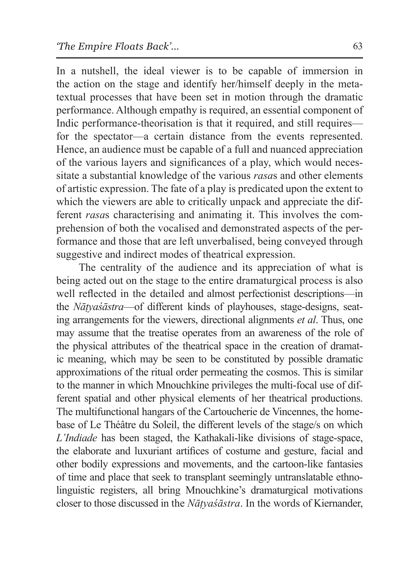In a nutshell, the ideal viewer is to be capable of immersion in the action on the stage and identify her/himself deeply in the metatextual processes that have been set in motion through the dramatic performance. Although empathy is required, an essential component of Indic performance-theorisation is that it required, and still requires for the spectator—a certain distance from the events represented. Hence, an audience must be capable of a full and nuanced appreciation of the various layers and significances of a play, which would necessitate a substantial knowledge of the various *rasa*s and other elements of artistic expression. The fate of a play is predicated upon the extent to which the viewers are able to critically unpack and appreciate the different *rasa*s characterising and animating it. This involves the comprehension of both the vocalised and demonstrated aspects of the performance and those that are left unverbalised, being conveyed through suggestive and indirect modes of theatrical expression.

The centrality of the audience and its appreciation of what is being acted out on the stage to the entire dramaturgical process is also well reflected in the detailed and almost perfectionist descriptions—in the *Nāṭyaśāstra*—of different kinds of playhouses, stage-designs, seating arrangements for the viewers, directional alignments *et al*. Thus, one may assume that the treatise operates from an awareness of the role of the physical attributes of the theatrical space in the creation of dramatic meaning, which may be seen to be constituted by possible dramatic approximations of the ritual order permeating the cosmos. This is similar to the manner in which Mnouchkine privileges the multi-focal use of different spatial and other physical elements of her theatrical productions. The multifunctional hangars of the Cartoucherie de Vincennes, the homebase of Le Théâtre du Soleil, the different levels of the stage/s on which *L'Indiade* has been staged, the Kathakali-like divisions of stage-space, the elaborate and luxuriant artifices of costume and gesture, facial and other bodily expressions and movements, and the cartoon-like fantasies of time and place that seek to transplant seemingly untranslatable ethnolinguistic registers, all bring Mnouchkine's dramaturgical motivations closer to those discussed in the *Nāṭyaśāstra*. In the words of Kiernander,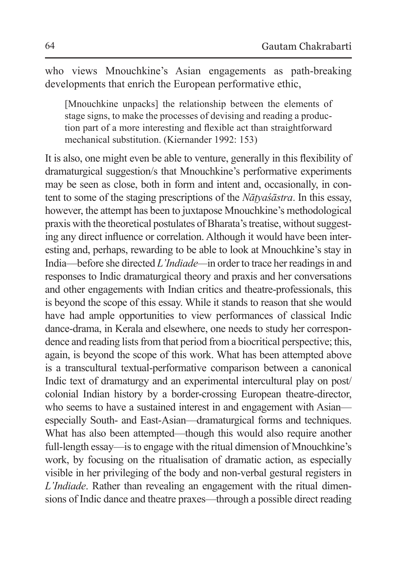who views Mnouchkine's Asian engagements as path-breaking developments that enrich the European performative ethic,

[Mnouchkine unpacks] the relationship between the elements of stage signs, to make the processes of devising and reading a production part of a more interesting and flexible act than straightforward mechanical substitution. (Kiernander 1992: 153)

It is also, one might even be able to venture, generally in this flexibility of dramaturgical suggestion/s that Mnouchkine's performative experiments may be seen as close, both in form and intent and, occasionally, in content to some of the staging prescriptions of the *Nāṭyaśāstra*. In this essay, however, the attempt has been to juxtapose Mnouchkine's methodological praxis with the theoretical postulates of Bharata's treatise, without suggesting any direct influence or correlation. Although it would have been interesting and, perhaps, rewarding to be able to look at Mnouchkine's stay in India—before she directed *L'Indiade—*in order to trace her readings in and responses to Indic dramaturgical theory and praxis and her conversations and other engagements with Indian critics and theatre-professionals, this is beyond the scope of this essay. While it stands to reason that she would have had ample opportunities to view performances of classical Indic dance-drama, in Kerala and elsewhere, one needs to study her correspondence and reading lists from that period from a biocritical perspective; this, again, is beyond the scope of this work. What has been attempted above is a transcultural textual-performative comparison between a canonical Indic text of dramaturgy and an experimental intercultural play on post/ colonial Indian history by a border-crossing European theatre-director, who seems to have a sustained interest in and engagement with Asian especially South- and East-Asian—dramaturgical forms and techniques. What has also been attempted—though this would also require another full-length essay—is to engage with the ritual dimension of Mnouchkine's work, by focusing on the ritualisation of dramatic action, as especially visible in her privileging of the body and non-verbal gestural registers in *L'Indiade*. Rather than revealing an engagement with the ritual dimensions of Indic dance and theatre praxes—through a possible direct reading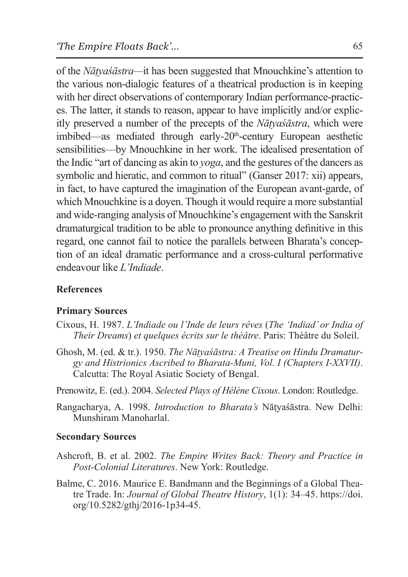of the *Nāṭyaśāstra—*it has been suggested that Mnouchkine's attention to the various non-dialogic features of a theatrical production is in keeping with her direct observations of contemporary Indian performance-practices. The latter, it stands to reason, appear to have implicitly and/or explicitly preserved a number of the precepts of the *Nāṭyaśāstra*, which were imbibed—as mediated through early-20<sup>th</sup>-century European aesthetic sensibilities—by Mnouchkine in her work. The idealised presentation of the Indic "art of dancing as akin to *yoga*, and the gestures of the dancers as symbolic and hieratic, and common to ritual" (Ganser 2017: xii) appears, in fact, to have captured the imagination of the European avant-garde, of which Mnouchkine is a doyen. Though it would require a more substantial and wide-ranging analysis of Mnouchkine's engagement with the Sanskrit dramaturgical tradition to be able to pronounce anything definitive in this regard, one cannot fail to notice the parallels between Bharata's conception of an ideal dramatic performance and a cross-cultural performative endeavour like *L'Indiade*.

### **References**

#### **Primary Sources**

- Cixous, H. 1987. *L'Indiade ou l'Inde de leurs rêves* (*The 'Indiad' or India of Their Dreams*) *et quelques écrits sur le théâtre*. Paris: Théâtre du Soleil.
- Ghosh, M. (ed. & tr.). 1950. *The Nāṭyaśāstra: A Treatise on Hindu Dramaturgy and Histrionics Ascribed to Bharata-Muni, Vol. I (Chapters I-XXVII)*. Calcutta: The Royal Asiatic Society of Bengal.

Prenowitz, E. (ed.). 2004. *Selected Plays of Hélène Cixous*. London: Routledge.

Rangacharya, A. 1998. *Introduction to Bharata's* Nāṭyaśāstra. New Delhi: Munshiram Manoharlal.

#### **Secondary Sources**

- Ashcroft, B. et al. 2002. *The Empire Writes Back: Theory and Practice in Post-Colonial Literatures*. New York: Routledge.
- Balme, C. 2016. Maurice E. Bandmann and the Beginnings of a Global Theatre Trade. In: *Journal of Global Theatre History*, 1(1): 34–45. https://doi. org/10.5282/gthj/2016-1p34-45.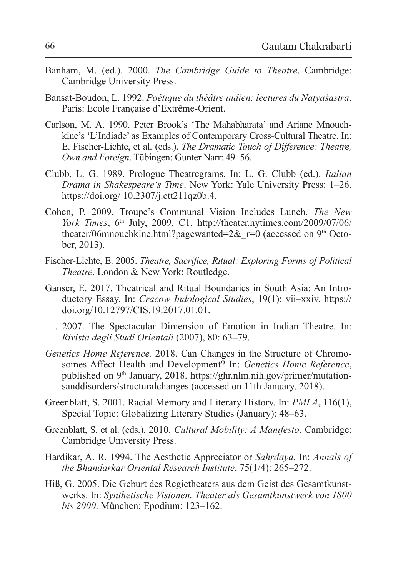- Banham, M. (ed.). 2000. *The Cambridge Guide to Theatre*. Cambridge: Cambridge University Press.
- Bansat-Boudon, L. 1992. *Poétique du théâtre indien: lectures du Nāṭyaśāstra*. Paris: Ecole Française d'Extrême-Orient.
- Carlson, M. A. 1990. Peter Brook's 'The Mahabharata' and Ariane Mnouchkine's 'L'Indiade' as Examples of Contemporary Cross-Cultural Theatre. In: E. Fischer-Lichte, et al. (eds.). *The Dramatic Touch of Difference: Theatre, Own and Foreign*. Tübingen: Gunter Narr: 49–56.
- Clubb, L. G. 1989. Prologue Theatregrams. In: L. G. Clubb (ed.). *Italian Drama in Shakespeare's Time*. New York: Yale University Press: 1–26. https://doi.org/ 10.2307/j.ctt211qz0b.4.
- Cohen, P. 2009. Troupe's Communal Vision Includes Lunch. *The New York Times*, 6<sup>th</sup> July, 2009, C1. http://theater.nytimes.com/2009/07/06/ theater/06mnouchkine.html?pagewanted= $2&r=0$  (accessed on 9<sup>th</sup> October, 2013).
- Fischer-Lichte, E. 2005. *Theatre, Sacrifice, Ritual: Exploring Forms of Political Theatre*. London & New York: Routledge.
- Ganser, E. 2017. Theatrical and Ritual Boundaries in South Asia: An Introductory Essay. In: *Cracow Indological Studies*, 19(1): vii–xxiv. https:// doi.org/10.12797/CIS.19.2017.01.01.
- —. 2007. The Spectacular Dimension of Emotion in Indian Theatre. In: *Rivista degli Studi Orientali* (2007), 80: 63–79.
- *Genetics Home Reference.* 2018. Can Changes in the Structure of Chromosomes Affect Health and Development? In: *Genetics Home Reference*, published on 9<sup>th</sup> January, 2018. https://ghr.nlm.nih.gov/primer/mutationsanddisorders/structuralchanges (accessed on 11th January, 2018).
- Greenblatt, S. 2001. Racial Memory and Literary History. In: *PMLA*, 116(1), Special Topic: Globalizing Literary Studies (January): 48–63.
- Greenblatt, S. et al. (eds.). 2010. *Cultural Mobility: A Manifesto*. Cambridge: Cambridge University Press.
- Hardikar, A. R. 1994. The Aesthetic Appreciator or *Sahṛdaya.* In: *Annals of the Bhandarkar Oriental Research Institute*, 75(1/4): 265–272.
- Hiß, G. 2005. Die Geburt des Regietheaters aus dem Geist des Gesamtkunstwerks. In: *Synthetische Visionen. Theater als Gesamtkunstwerk von 1800 bis 2000*. München: Epodium: 123–162.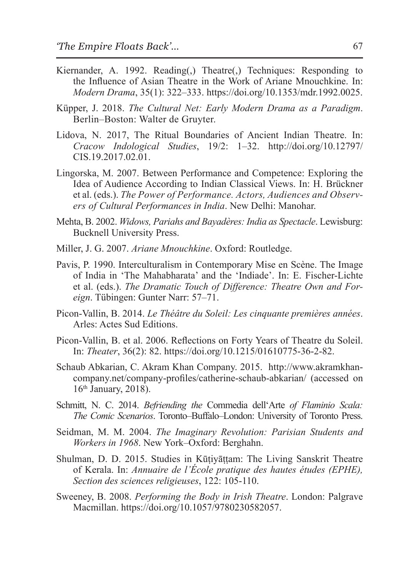- Kiernander, A. 1992. Reading(,) Theatre(,) Techniques: Responding to the Influence of Asian Theatre in the Work of Ariane Mnouchkine. In: *Modern Drama*, 35(1): 322–333. https://doi.org/10.1353/mdr.1992.0025.
- Küpper, J. 2018. *The Cultural Net: Early Modern Drama as a Paradigm*. Berlin–Boston: Walter de Gruyter.
- Lidova, N. 2017, The Ritual Boundaries of Ancient Indian Theatre. In: *Cracow Indological Studies*, 19/2: 1–32. http://doi.org/10.12797/ CIS.19.2017.02.01.
- Lingorska, M. 2007. Between Performance and Competence: Exploring the Idea of Audience According to Indian Classical Views. In: H. Brückner et al. (eds.). *The Power of Performance. Actors, Audiences and Observers of Cultural Performances in India*. New Delhi: Manohar.
- Mehta, B. 2002. *Widows, Pariahs and Bayadères: India as Spectacle*. Lewisburg: Bucknell University Press.
- Miller, J. G. 2007. *Ariane Mnouchkine*. Oxford: Routledge.
- Pavis, P. 1990. Interculturalism in Contemporary Mise en Scène. The Image of India in 'The Mahabharata' and the 'Indiade'. In: E. Fischer-Lichte et al. (eds.). *The Dramatic Touch of Difference: Theatre Own and Foreign*. Tübingen: Gunter Narr: 57–71.
- Picon-Vallin, B. 2014. *Le Théâtre du Soleil: Les cinquante premières années*. Arles: Actes Sud Editions.
- Picon-Vallin, B. et al. 2006. Reflections on Forty Years of Theatre du Soleil. In: *Theater*, 36(2): 82. https://doi.org/10.1215/01610775-36-2-82.
- Schaub Abkarian, C. Akram Khan Company. 2015. http://www.akramkhancompany.net/company-profiles/catherine-schaub-abkarian/ (accessed on 16th January, 2018).
- Schmitt, N. C. 2014. *Befriending the* Commedia dell'Arte *of Flaminio Scala: The Comic Scenarios*. Toronto–Buffalo–London: University of Toronto Press.
- Seidman, M. M. 2004. *The Imaginary Revolution: Parisian Students and Workers in 1968*. New York–Oxford: Berghahn.
- Shulman, D. D. 2015. Studies in Kūṭiyāṭṭam: The Living Sanskrit Theatre of Kerala. In: *Annuaire de l'École pratique des hautes études (EPHE), Section des sciences religieuses*, 122: 105-110.
- Sweeney, B. 2008. *Performing the Body in Irish Theatre*. London: Palgrave Macmillan. https://doi.org/10.1057/9780230582057.